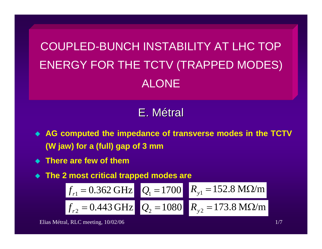COUPLED-BUNCH INSTABILITY AT LHC TOPENERGY FOR THE TCTV (TRAPPED MODES) ALONE

# E. Métral

- **AG computed the impedance of transverse modes in the TCTV (W jaw) for a (full) gap of 3 mm**
- **There are few of them**
- **The 2 most critical trapped modes are**

$$
f_{r1} = 0.362 \text{ GHz}
$$
  $Q_1 = 1700$   $R_{y1} = 152.8 \text{ M}\Omega/m$   
 $f_{r2} = 0.443 \text{ GHz}$   $Q_2 = 1080$   $R_{y2} = 173.8 \text{ M}\Omega/m$ 

Elias Métral, RLC meeting, 10/02/06 177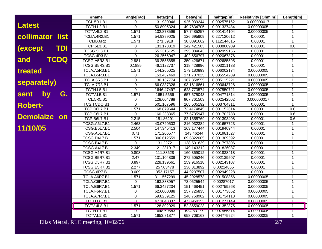|                              | #name               | angle[rad]     | betax[m]   | betay[m]   | halfgap[m]  | <b>Resistivity [Ohm m]</b> | Length[m]    |
|------------------------------|---------------------|----------------|------------|------------|-------------|----------------------------|--------------|
|                              | <b>TCL.5R1.B1</b>   | 0              | 131.930046 | 925.939244 | 0.002575162 | 0.000000017                |              |
| <b>Latest</b>                | TCTH.L2.B1          | 0              | 50.8905324 | 49.7634705 | 0.001327484 | 0.00000005                 | 1            |
|                              | TCTV.4L2.B1         | 1.571          | 132.878596 | 57.7485257 | 0.001414104 | 0.00000005                 | 1            |
| collimator<br>list           | TCLIA.4R2.B1        | 1.571          | 54.9399025 | 126.695909 | 0.227120612 | 0.00001                    |              |
|                              | TCLIB.6R2           | 1.571          | 271.5918   | 30.8891662 | 0.112144615 | 0.00001                    | 1            |
| <b>TDI</b><br><i>(except</i> | <b>TCP.6L3.B1</b>   | $\mathbf 0$    | 133.173819 | 142.421503 | 0.003880909 | 0.00001                    | 0.6          |
|                              | <b>TCSG.5L3.B1</b>  | 0              | 55.2316125 | 295.084643 | 0.002999156 | 0.00001                    | $\mathbf{1}$ |
|                              | <b>TCSG.4R3.B1</b>  | $\mathbf 0$    | 26.2566047 | 402.556797 | 0.002067876 | 0.00001                    | 1            |
| TCDQ<br>and                  | TCSG.A5R3.B1        | 2.981          | 36.2555658 | 350.426671 | 0.002685595 | 0.00001                    | 1            |
|                              | TCSG.B5R3.B1        | 0.1885         | 46.1122737 | 318.428996 | 0.003011138 | 0.00001                    | 1            |
| treated                      | TCLA.A5R3.B1        | 1.571          | 144.265025 | 179.180893 | 0.006002174 | 0.00000005                 | 1            |
|                              | TCLA.B5R3.B1        | 0              | 153.437469 | 171.707025 | 0.005554289 | 0.00000005                 | 1            |
| separately)                  | <b>TCLA.6R3.B1</b>  | $\mathbf 0$    | 130.137774 | 167.358555 | 0.005115221 | 0.00000005                 | $\mathbf{1}$ |
|                              | TCLA.7R3.B1         | $\mathbf 0$    | 66.0337326 | 93.1616861 | 0.003643726 | 0.00000005                 | 1            |
|                              | TCTH.L5.B1          | 0              | 1646.47497 | 623.773574 | 0.007550721 | 0.00000005                 | 1            |
| by<br>G.<br>sent             | TCTV.L5.B1          | 1.571          | 1651.5656  | 657.575043 | 0.004771814 | 0.00000005                 | 1            |
|                              | <b>TCL.5R5.B1</b>   | 0              | 128.604788 | 907.761503 | 0.002542502 | 0.000000017                | 1            |
| <b>Robert-</b>               | TCS.TCDQ.B1         | $\overline{0}$ | 501.167596 | 165.505192 | 0.003764311 | 0.00001                    | $\mathbf{1}$ |
|                              | <b>TCP.D6L7.B1</b>  | 1.571          | 168.879644 | 73.4174845 | 0.001152614 | 0.00001                    | 0.6          |
| <b>Demolaize</b><br>on       | TCP.C6L7.B1         | 0              | 160.233365 | 77.6735947 | 0.001702788 | 0.00001                    | 0.6          |
|                              | <b>TCP.B6L7.B1</b>  | 2.215          | 151.86291  | 82.1555769 | 0.001393408 | 0.00001                    | 0.6          |
|                              | TCSG.A6L7.B1        | 2.463          | 43.0720503 | 216.932384 | 0.001657723 | 0.00001                    | 1            |
| 11/10/05                     | <b>TCSG.B5L7.B1</b> | 2.504          | 147.345413 | 163.177444 | 0.001940944 | 0.00001                    | $\mathbf{1}$ |
|                              | TCSG.A5L7.B1        | 0.71           | 171.206577 | 143.46244  | 0.001981527 | 0.00001                    | 1.           |
|                              | TCSG.D4L7.B1        | 1.571          | 306.612559 | 69.6322005 | 0.001309592 | 0.00001                    |              |
|                              | TCSG.B4L7.B1        | 0              | 131.22721  | 138.531839 | 0.001797806 | 0.00001                    | 1            |
|                              | TCSG.A4L7.B1        | 2.349          | 121.231917 | 149.143312 | 0.001826087 | 0.00001                    | $\mathbf{1}$ |
|                              | TCSG.A4R7.B1        | 0.808          | 111.88628  | 160.369012 | 0.001838418 | 0.00001                    | 1            |
|                              | TCSG.B5R7.B1        | 2.47           | 131.104839 | 272.505246 | 0.002139507 | 0.00001                    | 1            |
|                              | TCSG.D5R7.B1        | 0.897          | 228.139661 | 159.916518 | 0.002143107 | 0.00001                    | 1            |
|                              | TCSG.E5R7.B1        | 2.277          | 257.03478  | 136.813892 | 0.00214865  | 0.00001                    | 1            |
|                              | <b>TCSG.6R7.B1</b>  | 0.009          | 353.17157  | 44.9237507 | 0.002949228 | 0.00001                    | 1            |
|                              | TCLA.A6R7.B1        | 1.571          | 311.567299 | 45.2928573 | 0.001508856 | 0.00000005                 |              |
|                              | TCLA.C6R7.B1        | 0              | 163.888957 | 73.0525544 | 0.00287017  | 0.00000005                 | 1            |
|                              | TCLA.E6R7.B1        | 1.571          | 66.3427234 | 151.468451 | 0.002759268 | 0.00000005                 | 1            |
|                              | TCLA.F6R7.B1        | 0              | 62.6000088 | 157.726835 | 0.001773862 | 0.00000005                 | 1            |
|                              | TCLA.A7R7.B1        | $\mathbf 0$    | 59.8259125 | 148.758902 | 0.001734113 | 0.00000005                 | 1            |
|                              | TCTH I & R1         | $\Omega$       | 47 1043837 | 47 8950155 | 0.001277149 | 0.00000005                 | $\mathbf{1}$ |
|                              | TCTV.4L8.B1         | 1.571          | 128.802029 | 52.8559028 | 0.001352875 | 0.00000005                 | $\mathbf{1}$ |
|                              | TUTH.LT.DT          | U              | 1040.09003 | 024.03111  | U.UU7000014 | <b>U.UUUUUUUJ</b>          |              |
|                              | TCTV.L1.B1          | 1.571          | 1653.81877 | 658.708163 | 0.004775924 | 0.00000005                 | $\mathbf{1}$ |

Elias Métral, RLC meeting, 10/02/06 2/7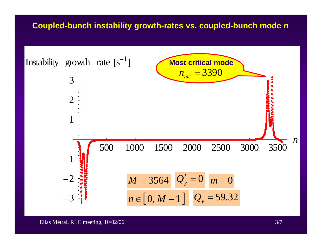#### **Coupled-bunch instability growth-rates vs. coupled-bunch mode**  *n*

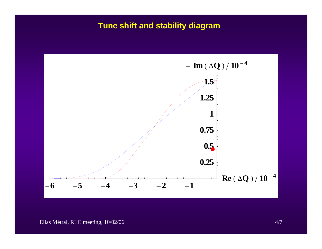## Tune shift and stability diagram

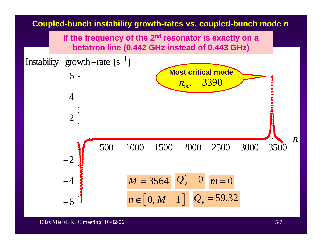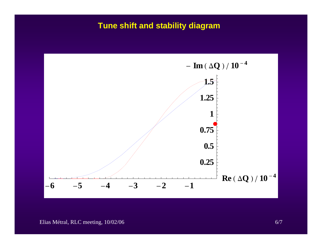## Tune shift and stability diagram